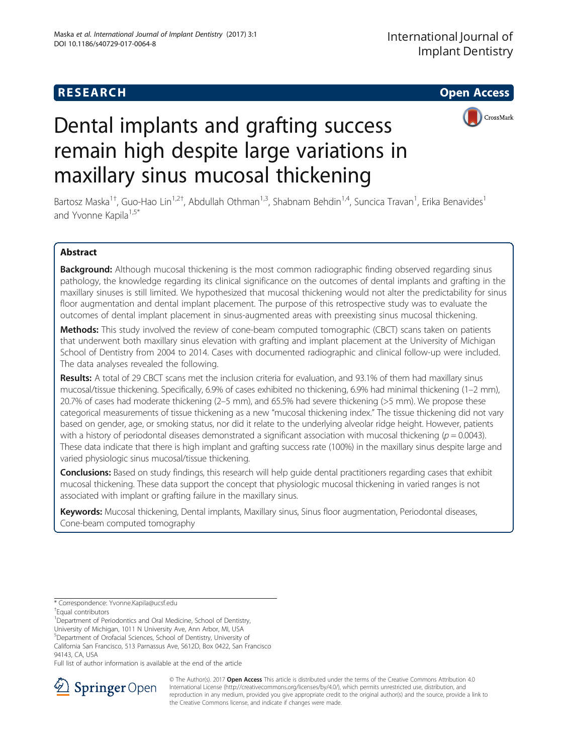## **RESEARCH CHE Open Access**



# Dental implants and grafting success remain high despite large variations in maxillary sinus mucosal thickening

Bartosz Maska<sup>1†</sup>, Guo-Hao Lin<sup>1,2†</sup>, Abdullah Othman<sup>1,3</sup>, Shabnam Behdin<sup>1,4</sup>, Suncica Travan<sup>1</sup>, Erika Benavides<sup>1</sup> and Yvonne Kapila<sup>1,5\*</sup>

## Abstract

Background: Although mucosal thickening is the most common radiographic finding observed regarding sinus pathology, the knowledge regarding its clinical significance on the outcomes of dental implants and grafting in the maxillary sinuses is still limited. We hypothesized that mucosal thickening would not alter the predictability for sinus floor augmentation and dental implant placement. The purpose of this retrospective study was to evaluate the outcomes of dental implant placement in sinus-augmented areas with preexisting sinus mucosal thickening.

Methods: This study involved the review of cone-beam computed tomographic (CBCT) scans taken on patients that underwent both maxillary sinus elevation with grafting and implant placement at the University of Michigan School of Dentistry from 2004 to 2014. Cases with documented radiographic and clinical follow-up were included. The data analyses revealed the following.

Results: A total of 29 CBCT scans met the inclusion criteria for evaluation, and 93.1% of them had maxillary sinus mucosal/tissue thickening. Specifically, 6.9% of cases exhibited no thickening, 6.9% had minimal thickening (1–2 mm), 20.7% of cases had moderate thickening (2–5 mm), and 65.5% had severe thickening (>5 mm). We propose these categorical measurements of tissue thickening as a new "mucosal thickening index." The tissue thickening did not vary based on gender, age, or smoking status, nor did it relate to the underlying alveolar ridge height. However, patients with a history of periodontal diseases demonstrated a significant association with mucosal thickening ( $p = 0.0043$ ). These data indicate that there is high implant and grafting success rate (100%) in the maxillary sinus despite large and varied physiologic sinus mucosal/tissue thickening.

Conclusions: Based on study findings, this research will help guide dental practitioners regarding cases that exhibit mucosal thickening. These data support the concept that physiologic mucosal thickening in varied ranges is not associated with implant or grafting failure in the maxillary sinus.

Keywords: Mucosal thickening, Dental implants, Maxillary sinus, Sinus floor augmentation, Periodontal diseases, Cone-beam computed tomography

5 Department of Orofacial Sciences, School of Dentistry, University of

California San Francisco, 513 Parnassus Ave, S612D, Box 0422, San Francisco 94143, CA, USA

Full list of author information is available at the end of the article



© The Author(s). 2017 **Open Access** This article is distributed under the terms of the Creative Commons Attribution 4.0 International License ([http://creativecommons.org/licenses/by/4.0/\)](http://creativecommons.org/licenses/by/4.0/), which permits unrestricted use, distribution, and reproduction in any medium, provided you give appropriate credit to the original author(s) and the source, provide a link to the Creative Commons license, and indicate if changes were made.

<sup>\*</sup> Correspondence: [Yvonne.Kapila@ucsf.edu](mailto:Yvonne.Kapila@ucsf.edu) †

Equal contributors

<sup>&</sup>lt;sup>1</sup>Department of Periodontics and Oral Medicine, School of Dentistry,

University of Michigan, 1011 N University Ave, Ann Arbor, MI, USA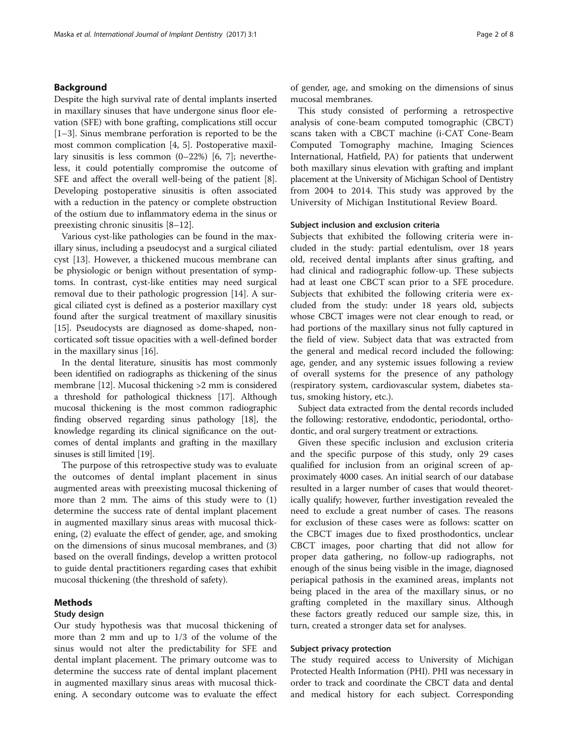## Background

Despite the high survival rate of dental implants inserted in maxillary sinuses that have undergone sinus floor elevation (SFE) with bone grafting, complications still occur [[1](#page-6-0)–[3\]](#page-6-0). Sinus membrane perforation is reported to be the most common complication [[4, 5\]](#page-6-0). Postoperative maxillary sinusitis is less common (0–22%) [\[6](#page-6-0), [7\]](#page-6-0); nevertheless, it could potentially compromise the outcome of SFE and affect the overall well-being of the patient [\[8](#page-6-0)]. Developing postoperative sinusitis is often associated with a reduction in the patency or complete obstruction of the ostium due to inflammatory edema in the sinus or preexisting chronic sinusitis [\[8](#page-6-0)–[12\]](#page-6-0).

Various cyst-like pathologies can be found in the maxillary sinus, including a pseudocyst and a surgical ciliated cyst [[13](#page-6-0)]. However, a thickened mucous membrane can be physiologic or benign without presentation of symptoms. In contrast, cyst-like entities may need surgical removal due to their pathologic progression [\[14](#page-6-0)]. A surgical ciliated cyst is defined as a posterior maxillary cyst found after the surgical treatment of maxillary sinusitis [[15\]](#page-6-0). Pseudocysts are diagnosed as dome-shaped, noncorticated soft tissue opacities with a well-defined border in the maxillary sinus [[16\]](#page-6-0).

In the dental literature, sinusitis has most commonly been identified on radiographs as thickening of the sinus membrane [[12](#page-6-0)]. Mucosal thickening >2 mm is considered a threshold for pathological thickness [\[17\]](#page-6-0). Although mucosal thickening is the most common radiographic finding observed regarding sinus pathology [\[18\]](#page-6-0), the knowledge regarding its clinical significance on the outcomes of dental implants and grafting in the maxillary sinuses is still limited [\[19\]](#page-6-0).

The purpose of this retrospective study was to evaluate the outcomes of dental implant placement in sinus augmented areas with preexisting mucosal thickening of more than 2 mm. The aims of this study were to (1) determine the success rate of dental implant placement in augmented maxillary sinus areas with mucosal thickening, (2) evaluate the effect of gender, age, and smoking on the dimensions of sinus mucosal membranes, and (3) based on the overall findings, develop a written protocol to guide dental practitioners regarding cases that exhibit mucosal thickening (the threshold of safety).

## Methods

## Study design

Our study hypothesis was that mucosal thickening of more than 2 mm and up to 1/3 of the volume of the sinus would not alter the predictability for SFE and dental implant placement. The primary outcome was to determine the success rate of dental implant placement in augmented maxillary sinus areas with mucosal thickening. A secondary outcome was to evaluate the effect of gender, age, and smoking on the dimensions of sinus mucosal membranes.

This study consisted of performing a retrospective analysis of cone-beam computed tomographic (CBCT) scans taken with a CBCT machine (i-CAT Cone-Beam Computed Tomography machine, Imaging Sciences International, Hatfield, PA) for patients that underwent both maxillary sinus elevation with grafting and implant placement at the University of Michigan School of Dentistry from 2004 to 2014. This study was approved by the University of Michigan Institutional Review Board.

## Subject inclusion and exclusion criteria

Subjects that exhibited the following criteria were included in the study: partial edentulism, over 18 years old, received dental implants after sinus grafting, and had clinical and radiographic follow-up. These subjects had at least one CBCT scan prior to a SFE procedure. Subjects that exhibited the following criteria were excluded from the study: under 18 years old, subjects whose CBCT images were not clear enough to read, or had portions of the maxillary sinus not fully captured in the field of view. Subject data that was extracted from the general and medical record included the following: age, gender, and any systemic issues following a review of overall systems for the presence of any pathology (respiratory system, cardiovascular system, diabetes status, smoking history, etc.).

Subject data extracted from the dental records included the following: restorative, endodontic, periodontal, orthodontic, and oral surgery treatment or extractions.

Given these specific inclusion and exclusion criteria and the specific purpose of this study, only 29 cases qualified for inclusion from an original screen of approximately 4000 cases. An initial search of our database resulted in a larger number of cases that would theoretically qualify; however, further investigation revealed the need to exclude a great number of cases. The reasons for exclusion of these cases were as follows: scatter on the CBCT images due to fixed prosthodontics, unclear CBCT images, poor charting that did not allow for proper data gathering, no follow-up radiographs, not enough of the sinus being visible in the image, diagnosed periapical pathosis in the examined areas, implants not being placed in the area of the maxillary sinus, or no grafting completed in the maxillary sinus. Although these factors greatly reduced our sample size, this, in turn, created a stronger data set for analyses.

## Subject privacy protection

The study required access to University of Michigan Protected Health Information (PHI). PHI was necessary in order to track and coordinate the CBCT data and dental and medical history for each subject. Corresponding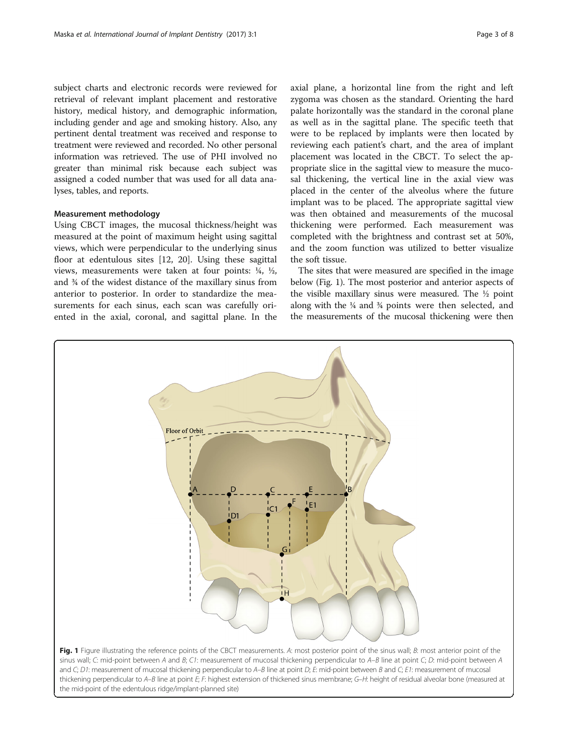subject charts and electronic records were reviewed for retrieval of relevant implant placement and restorative history, medical history, and demographic information, including gender and age and smoking history. Also, any pertinent dental treatment was received and response to treatment were reviewed and recorded. No other personal information was retrieved. The use of PHI involved no greater than minimal risk because each subject was assigned a coded number that was used for all data analyses, tables, and reports.

## Measurement methodology

Using CBCT images, the mucosal thickness/height was measured at the point of maximum height using sagittal views, which were perpendicular to the underlying sinus floor at edentulous sites [[12](#page-6-0), [20\]](#page-6-0). Using these sagittal views, measurements were taken at four points: ¼, ½, and ¾ of the widest distance of the maxillary sinus from anterior to posterior. In order to standardize the measurements for each sinus, each scan was carefully oriented in the axial, coronal, and sagittal plane. In the

axial plane, a horizontal line from the right and left zygoma was chosen as the standard. Orienting the hard palate horizontally was the standard in the coronal plane as well as in the sagittal plane. The specific teeth that were to be replaced by implants were then located by reviewing each patient's chart, and the area of implant placement was located in the CBCT. To select the appropriate slice in the sagittal view to measure the mucosal thickening, the vertical line in the axial view was placed in the center of the alveolus where the future implant was to be placed. The appropriate sagittal view was then obtained and measurements of the mucosal thickening were performed. Each measurement was completed with the brightness and contrast set at 50%, and the zoom function was utilized to better visualize the soft tissue.

The sites that were measured are specified in the image below (Fig. 1). The most posterior and anterior aspects of the visible maxillary sinus were measured. The ½ point along with the ¼ and ¾ points were then selected, and the measurements of the mucosal thickening were then



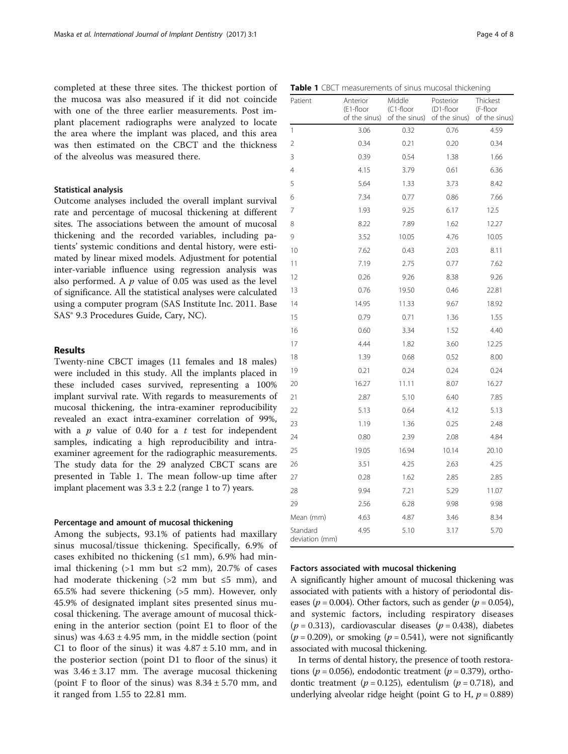completed at these three sites. The thickest portion of the mucosa was also measured if it did not coincide with one of the three earlier measurements. Post implant placement radiographs were analyzed to locate the area where the implant was placed, and this area was then estimated on the CBCT and the thickness of the alveolus was measured there.

## Statistical analysis

Outcome analyses included the overall implant survival rate and percentage of mucosal thickening at different sites. The associations between the amount of mucosal thickening and the recorded variables, including patients' systemic conditions and dental history, were estimated by linear mixed models. Adjustment for potential inter-variable influence using regression analysis was also performed. A  $p$  value of 0.05 was used as the level of significance. All the statistical analyses were calculated using a computer program (SAS Institute Inc. 2011. Base SAS® 9.3 Procedures Guide, Cary, NC).

## Results

Twenty-nine CBCT images (11 females and 18 males) were included in this study. All the implants placed in these included cases survived, representing a 100% implant survival rate. With regards to measurements of mucosal thickening, the intra-examiner reproducibility revealed an exact intra-examiner correlation of 99%, with a  $p$  value of 0.40 for a  $t$  test for independent samples, indicating a high reproducibility and intraexaminer agreement for the radiographic measurements. The study data for the 29 analyzed CBCT scans are presented in Table 1. The mean follow-up time after implant placement was  $3.3 \pm 2.2$  (range 1 to 7) years.

## Percentage and amount of mucosal thickening

Among the subjects, 93.1% of patients had maxillary sinus mucosal/tissue thickening. Specifically, 6.9% of cases exhibited no thickening  $(\leq 1$  mm), 6.9% had minimal thickening (>1 mm but  $\leq$ 2 mm), 20.7% of cases had moderate thickening ( $>2$  mm but  $\leq 5$  mm), and 65.5% had severe thickening (>5 mm). However, only 45.9% of designated implant sites presented sinus mucosal thickening. The average amount of mucosal thickening in the anterior section (point E1 to floor of the sinus) was  $4.63 \pm 4.95$  mm, in the middle section (point C1 to floor of the sinus) it was  $4.87 \pm 5.10$  mm, and in the posterior section (point D1 to floor of the sinus) it was  $3.46 \pm 3.17$  mm. The average mucosal thickening (point F to floor of the sinus) was  $8.34 \pm 5.70$  mm, and it ranged from 1.55 to 22.81 mm.

|  | <b>Table 1</b> CBCT measurements of sinus mucosal thickening |  |  |  |
|--|--------------------------------------------------------------|--|--|--|
|  |                                                              |  |  |  |

| Patient                    | Anterior<br>(E1-floor<br>of the sinus) | Middle<br>(C1-floor<br>of the sinus) | Posterior<br>(D1-floor<br>of the sinus) | Thickest<br>(F-floor<br>of the sinus) |  |
|----------------------------|----------------------------------------|--------------------------------------|-----------------------------------------|---------------------------------------|--|
| 1                          | 3.06                                   | 0.32                                 | 0.76                                    | 4.59                                  |  |
| $\overline{2}$             | 0.34                                   | 0.21                                 | 0.20                                    | 0.34                                  |  |
| 3                          | 0.39                                   | 0.54                                 | 1.38                                    | 1.66                                  |  |
| 4                          | 4.15                                   | 3.79                                 | 0.61                                    | 6.36                                  |  |
| 5                          | 5.64                                   | 1.33                                 | 3.73                                    | 8.42                                  |  |
| 6                          | 7.34                                   | 0.77                                 | 0.86                                    | 7.66                                  |  |
| 7                          | 1.93                                   | 9.25                                 | 6.17                                    | 12.5                                  |  |
| 8                          | 8.22                                   | 7.89                                 | 1.62                                    | 12.27                                 |  |
| 9                          | 3.52                                   | 10.05                                | 4.76                                    | 10.05                                 |  |
| 10                         | 7.62                                   | 0.43                                 | 2.03                                    | 8.11                                  |  |
| 11                         | 7.19                                   | 2.75                                 | 0.77                                    | 7.62                                  |  |
| 12                         | 0.26                                   | 9.26                                 | 8.38                                    | 9.26                                  |  |
| 13                         | 0.76                                   | 19.50                                | 0.46                                    | 22.81                                 |  |
| 14                         | 14.95                                  | 11.33                                | 9.67                                    | 18.92                                 |  |
| 15                         | 0.79                                   | 0.71                                 | 1.36                                    | 1.55                                  |  |
| 16                         | 0.60                                   | 3.34                                 | 1.52                                    | 4.40                                  |  |
| 17                         | 4.44                                   | 1.82                                 | 3.60                                    | 12.25                                 |  |
| 18                         | 1.39                                   | 0.68                                 | 0.52                                    | 8.00                                  |  |
| 19                         | 0.21                                   | 0.24                                 | 0.24                                    | 0.24                                  |  |
| 20                         | 16.27                                  | 11.11                                | 8.07                                    | 16.27                                 |  |
| 21                         | 2.87                                   | 5.10                                 | 6.40                                    | 7.85                                  |  |
| 22                         | 5.13                                   | 0.64                                 | 4.12                                    | 5.13                                  |  |
| 23                         | 1.19                                   | 1.36                                 | 0.25                                    | 2.48                                  |  |
| 24                         | 0.80                                   | 2.39                                 | 2.08                                    | 4.84                                  |  |
| 25                         | 19.05                                  | 16.94                                | 10.14                                   | 20.10                                 |  |
| 26                         | 3.51                                   | 4.25                                 | 2.63                                    | 4.25                                  |  |
| 27                         | 0.28                                   | 1.62                                 | 2.85                                    | 2.85                                  |  |
| 28                         | 9.94                                   | 7.21                                 | 5.29                                    | 11.07                                 |  |
| 29                         | 2.56                                   | 6.28                                 | 9.98                                    | 9.98                                  |  |
| Mean (mm)                  | 4.63                                   | 4.87                                 | 3.46                                    | 8.34                                  |  |
| Standard<br>deviation (mm) | 4.95                                   | 5.10                                 | 3.17                                    | 5.70                                  |  |

## Factors associated with mucosal thickening

A significantly higher amount of mucosal thickening was associated with patients with a history of periodontal diseases ( $p = 0.004$ ). Other factors, such as gender ( $p = 0.054$ ), and systemic factors, including respiratory diseases  $(p = 0.313)$ , cardiovascular diseases  $(p = 0.438)$ , diabetes  $(p = 0.209)$ , or smoking  $(p = 0.541)$ , were not significantly associated with mucosal thickening.

In terms of dental history, the presence of tooth restorations ( $p = 0.056$ ), endodontic treatment ( $p = 0.379$ ), orthodontic treatment ( $p = 0.125$ ), edentulism ( $p = 0.718$ ), and underlying alveolar ridge height (point G to H,  $p = 0.889$ )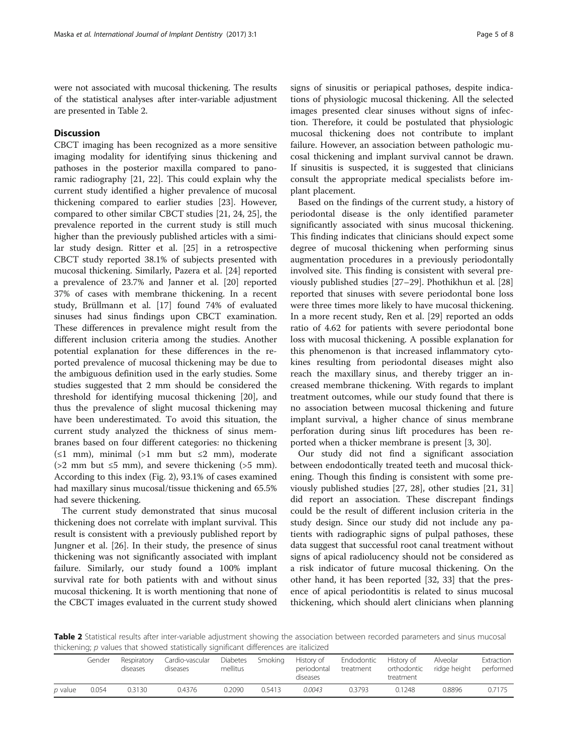were not associated with mucosal thickening. The results of the statistical analyses after inter-variable adjustment are presented in Table 2.

## **Discussion**

CBCT imaging has been recognized as a more sensitive imaging modality for identifying sinus thickening and pathoses in the posterior maxilla compared to panoramic radiography [[21, 22\]](#page-7-0). This could explain why the current study identified a higher prevalence of mucosal thickening compared to earlier studies [\[23\]](#page-7-0). However, compared to other similar CBCT studies [[21](#page-7-0), [24](#page-7-0), [25](#page-7-0)], the prevalence reported in the current study is still much higher than the previously published articles with a similar study design. Ritter et al. [\[25\]](#page-7-0) in a retrospective CBCT study reported 38.1% of subjects presented with mucosal thickening. Similarly, Pazera et al. [\[24](#page-7-0)] reported a prevalence of 23.7% and Janner et al. [[20](#page-6-0)] reported 37% of cases with membrane thickening. In a recent study, Brüllmann et al. [\[17](#page-6-0)] found 74% of evaluated sinuses had sinus findings upon CBCT examination. These differences in prevalence might result from the different inclusion criteria among the studies. Another potential explanation for these differences in the reported prevalence of mucosal thickening may be due to the ambiguous definition used in the early studies. Some studies suggested that 2 mm should be considered the threshold for identifying mucosal thickening [\[20](#page-6-0)], and thus the prevalence of slight mucosal thickening may have been underestimated. To avoid this situation, the current study analyzed the thickness of sinus membranes based on four different categories: no thickening  $(\leq 1$  mm), minimal (>1 mm but  $\leq 2$  mm), moderate ( $>2$  mm but  $\leq 5$  mm), and severe thickening ( $>5$  mm). According to this index (Fig. [2\)](#page-5-0), 93.1% of cases examined had maxillary sinus mucosal/tissue thickening and 65.5% had severe thickening.

The current study demonstrated that sinus mucosal thickening does not correlate with implant survival. This result is consistent with a previously published report by Jungner et al. [[26\]](#page-7-0). In their study, the presence of sinus thickening was not significantly associated with implant failure. Similarly, our study found a 100% implant survival rate for both patients with and without sinus mucosal thickening. It is worth mentioning that none of the CBCT images evaluated in the current study showed

signs of sinusitis or periapical pathoses, despite indications of physiologic mucosal thickening. All the selected images presented clear sinuses without signs of infection. Therefore, it could be postulated that physiologic mucosal thickening does not contribute to implant failure. However, an association between pathologic mucosal thickening and implant survival cannot be drawn. If sinusitis is suspected, it is suggested that clinicians consult the appropriate medical specialists before implant placement.

Based on the findings of the current study, a history of periodontal disease is the only identified parameter significantly associated with sinus mucosal thickening. This finding indicates that clinicians should expect some degree of mucosal thickening when performing sinus augmentation procedures in a previously periodontally involved site. This finding is consistent with several previously published studies [[27](#page-7-0)–[29](#page-7-0)]. Phothikhun et al. [[28](#page-7-0)] reported that sinuses with severe periodontal bone loss were three times more likely to have mucosal thickening. In a more recent study, Ren et al. [[29](#page-7-0)] reported an odds ratio of 4.62 for patients with severe periodontal bone loss with mucosal thickening. A possible explanation for this phenomenon is that increased inflammatory cytokines resulting from periodontal diseases might also reach the maxillary sinus, and thereby trigger an increased membrane thickening. With regards to implant treatment outcomes, while our study found that there is no association between mucosal thickening and future implant survival, a higher chance of sinus membrane perforation during sinus lift procedures has been reported when a thicker membrane is present [\[3](#page-6-0), [30](#page-7-0)].

Our study did not find a significant association between endodontically treated teeth and mucosal thickening. Though this finding is consistent with some previously published studies [[27, 28](#page-7-0)], other studies [[21, 31](#page-7-0)] did report an association. These discrepant findings could be the result of different inclusion criteria in the study design. Since our study did not include any patients with radiographic signs of pulpal pathoses, these data suggest that successful root canal treatment without signs of apical radiolucency should not be considered as a risk indicator of future mucosal thickening. On the other hand, it has been reported [[32](#page-7-0), [33](#page-7-0)] that the presence of apical periodontitis is related to sinus mucosal thickening, which should alert clinicians when planning

Table 2 Statistical results after inter-variable adjustment showing the association between recorded parameters and sinus mucosal thickening; p values that showed statistically significant differences are italicized

|         | Gender | Respiratory<br>diseases | Cardio-vascular<br>diseases | <b>Diabetes</b><br>mellitus | Smoking | History of<br>periodontal<br>diseases | Endodontic<br>treatment | History of<br>orthodontic<br>treatment | Alveolar<br>ridge height | Extraction<br>performed |
|---------|--------|-------------------------|-----------------------------|-----------------------------|---------|---------------------------------------|-------------------------|----------------------------------------|--------------------------|-------------------------|
| p value | 0.054  | 0.3130                  | 0.4376                      | 0.2090                      | 0.5413  | 0.0043                                | 0.3793                  | 0.1248                                 | 0.8896                   | 0.7175                  |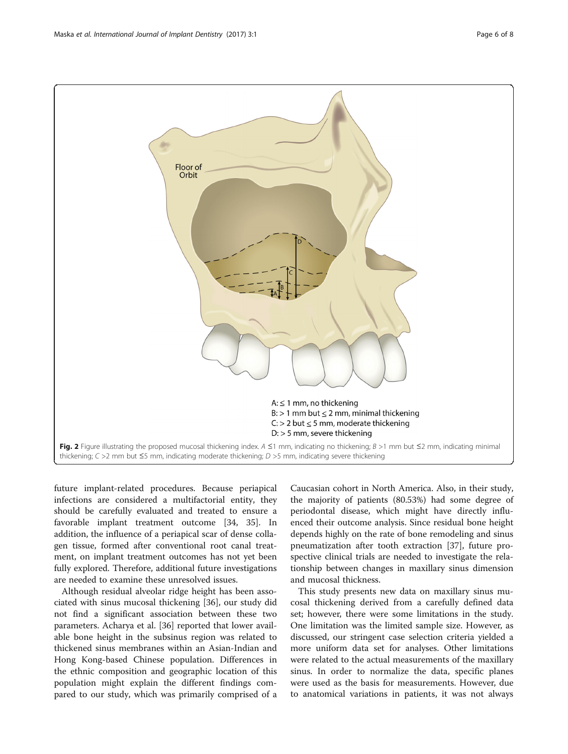<span id="page-5-0"></span>

future implant-related procedures. Because periapical infections are considered a multifactorial entity, they should be carefully evaluated and treated to ensure a favorable implant treatment outcome [[34, 35](#page-7-0)]. In addition, the influence of a periapical scar of dense collagen tissue, formed after conventional root canal treatment, on implant treatment outcomes has not yet been fully explored. Therefore, additional future investigations are needed to examine these unresolved issues.

Although residual alveolar ridge height has been associated with sinus mucosal thickening [\[36](#page-7-0)], our study did not find a significant association between these two parameters. Acharya et al. [[36\]](#page-7-0) reported that lower available bone height in the subsinus region was related to thickened sinus membranes within an Asian-Indian and Hong Kong-based Chinese population. Differences in the ethnic composition and geographic location of this population might explain the different findings compared to our study, which was primarily comprised of a Caucasian cohort in North America. Also, in their study, the majority of patients (80.53%) had some degree of periodontal disease, which might have directly influenced their outcome analysis. Since residual bone height depends highly on the rate of bone remodeling and sinus pneumatization after tooth extraction [[37\]](#page-7-0), future prospective clinical trials are needed to investigate the relationship between changes in maxillary sinus dimension and mucosal thickness.

This study presents new data on maxillary sinus mucosal thickening derived from a carefully defined data set; however, there were some limitations in the study. One limitation was the limited sample size. However, as discussed, our stringent case selection criteria yielded a more uniform data set for analyses. Other limitations were related to the actual measurements of the maxillary sinus. In order to normalize the data, specific planes were used as the basis for measurements. However, due to anatomical variations in patients, it was not always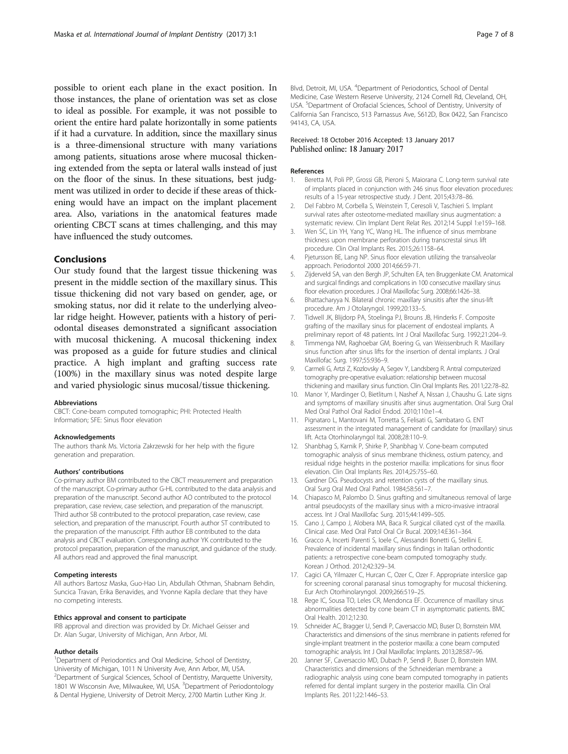<span id="page-6-0"></span>possible to orient each plane in the exact position. In those instances, the plane of orientation was set as close to ideal as possible. For example, it was not possible to orient the entire hard palate horizontally in some patients if it had a curvature. In addition, since the maxillary sinus is a three-dimensional structure with many variations among patients, situations arose where mucosal thickening extended from the septa or lateral walls instead of just on the floor of the sinus. In these situations, best judgment was utilized in order to decide if these areas of thickening would have an impact on the implant placement area. Also, variations in the anatomical features made orienting CBCT scans at times challenging, and this may have influenced the study outcomes.

## Conclusions

Our study found that the largest tissue thickening was present in the middle section of the maxillary sinus. This tissue thickening did not vary based on gender, age, or smoking status, nor did it relate to the underlying alveolar ridge height. However, patients with a history of periodontal diseases demonstrated a significant association with mucosal thickening. A mucosal thickening index was proposed as a guide for future studies and clinical practice. A high implant and grafting success rate (100%) in the maxillary sinus was noted despite large and varied physiologic sinus mucosal/tissue thickening.

#### Abbreviations

CBCT: Cone-beam computed tomographic; PHI: Protected Health Information; SFE: Sinus floor elevation

#### Acknowledgements

The authors thank Ms. Victoria Zakrzewski for her help with the figure generation and preparation.

#### Authors' contributions

Co-primary author BM contributed to the CBCT measurement and preparation of the manuscript. Co-primary author G-HL contributed to the data analysis and preparation of the manuscript. Second author AO contributed to the protocol preparation, case review, case selection, and preparation of the manuscript. Third author SB contributed to the protocol preparation, case review, case selection, and preparation of the manuscript. Fourth author ST contributed to the preparation of the manuscript. Fifth author EB contributed to the data analysis and CBCT evaluation. Corresponding author YK contributed to the protocol preparation, preparation of the manuscript, and guidance of the study. All authors read and approved the final manuscript.

#### Competing interests

All authors Bartosz Maska, Guo-Hao Lin, Abdullah Othman, Shabnam Behdin, Suncica Travan, Erika Benavides, and Yvonne Kapila declare that they have no competing interests.

#### Ethics approval and consent to participate

IRB approval and direction was provided by Dr. Michael Geisser and Dr. Alan Sugar, University of Michigan, Ann Arbor, MI.

#### Author details

<sup>1</sup>Department of Periodontics and Oral Medicine, School of Dentistry, University of Michigan, 1011 N University Ave, Ann Arbor, MI, USA. 2 Department of Surgical Sciences, School of Dentistry, Marquette University, 1801 W Wisconsin Ave, Milwaukee, WI, USA. <sup>3</sup>Department of Periodontology & Dental Hygiene, University of Detroit Mercy, 2700 Martin Luther King Jr.

Blvd, Detroit, MI, USA. <sup>4</sup>Department of Periodontics, School of Dental Medicine, Case Western Reserve University, 2124 Cornell Rd, Cleveland, OH, USA. <sup>5</sup>Department of Orofacial Sciences, School of Dentistry, University of California San Francisco, 513 Parnassus Ave, S612D, Box 0422, San Francisco 94143, CA, USA.

### Received: 18 October 2016 Accepted: 13 January 2017 Published online: 18 January 2017

#### References

- Beretta M, Poli PP, Grossi GB, Pieroni S, Maiorana C. Long-term survival rate of implants placed in conjunction with 246 sinus floor elevation procedures: results of a 15-year retrospective study. J Dent. 2015;43:78–86.
- 2. Del Fabbro M, Corbella S, Weinstein T, Ceresoli V, Taschieri S. Implant survival rates after osteotome-mediated maxillary sinus augmentation: a systematic review. Clin Implant Dent Relat Res. 2012;14 Suppl 1:e159–168.
- 3. Wen SC, Lin YH, Yang YC, Wang HL. The influence of sinus membrane thickness upon membrane perforation during transcrestal sinus lift procedure. Clin Oral Implants Res. 2015;26:1158–64.
- 4. Pjetursson BE, Lang NP. Sinus floor elevation utilizing the transalveolar approach. Periodontol 2000 2014;66:59-71.
- 5. Zijderveld SA, van den Bergh JP, Schulten EA, ten Bruggenkate CM. Anatomical and surgical findings and complications in 100 consecutive maxillary sinus floor elevation procedures. J Oral Maxillofac Surg. 2008;66:1426–38.
- 6. Bhattacharyya N. Bilateral chronic maxillary sinusitis after the sinus-lift procedure. Am J Otolaryngol. 1999;20:133–5.
- 7. Tidwell JK, Blijdorp PA, Stoelinga PJ, Brouns JB, Hinderks F. Composite grafting of the maxillary sinus for placement of endosteal implants. A preliminary report of 48 patients. Int J Oral Maxillofac Surg. 1992;21:204–9.
- 8. Timmenga NM, Raghoebar GM, Boering G, van Weissenbruch R. Maxillary sinus function after sinus lifts for the insertion of dental implants. J Oral Maxillofac Surg. 1997;55:936–9.
- 9. Carmeli G, Artzi Z, Kozlovsky A, Segev Y, Landsberg R. Antral computerized tomography pre-operative evaluation: relationship between mucosal thickening and maxillary sinus function. Clin Oral Implants Res. 2011;22:78–82.
- 10. Manor Y, Mardinger O, Bietlitum I, Nashef A, Nissan J, Chaushu G. Late signs and symptoms of maxillary sinusitis after sinus augmentation. Oral Surg Oral Med Oral Pathol Oral Radiol Endod. 2010;110:e1–4.
- 11. Pignataro L, Mantovani M, Torretta S, Felisati G, Sambataro G. ENT assessment in the integrated management of candidate for (maxillary) sinus lift. Acta Otorhinolaryngol Ital. 2008;28:110–9.
- 12. Shanbhag S, Karnik P, Shirke P, Shanbhag V. Cone-beam computed tomographic analysis of sinus membrane thickness, ostium patency, and residual ridge heights in the posterior maxilla: implications for sinus floor elevation. Clin Oral Implants Res. 2014;25:755–60.
- 13. Gardner DG. Pseudocysts and retention cysts of the maxillary sinus. Oral Surg Oral Med Oral Pathol. 1984;58:561–7.
- 14. Chiapasco M, Palombo D. Sinus grafting and simultaneous removal of large antral pseudocysts of the maxillary sinus with a micro-invasive intraoral access. Int J Oral Maxillofac Surg. 2015;44:1499–505.
- 15. Cano J, Campo J, Alobera MA, Baca R. Surgical ciliated cyst of the maxilla. Clinical case. Med Oral Patol Oral Cir Bucal. 2009;14:E361–364.
- 16. Gracco A, Incerti Parenti S, Ioele C, Alessandri Bonetti G, Stellini E. Prevalence of incidental maxillary sinus findings in Italian orthodontic patients: a retrospective cone-beam computed tomography study. Korean J Orthod. 2012;42:329–34.
- 17. Cagici CA, Yilmazer C, Hurcan C, Ozer C, Ozer F. Appropriate interslice gap for screening coronal paranasal sinus tomography for mucosal thickening. Eur Arch Otorhinolaryngol. 2009;266:519–25.
- 18. Rege IC, Sousa TO, Leles CR, Mendonca EF. Occurrence of maxillary sinus abnormalities detected by cone beam CT in asymptomatic patients. BMC Oral Health. 2012;12:30.
- 19. Schneider AC, Bragger U, Sendi P, Caversaccio MD, Buser D, Bornstein MM. Characteristics and dimensions of the sinus membrane in patients referred for single-implant treatment in the posterior maxilla: a cone beam computed tomographic analysis. Int J Oral Maxillofac Implants. 2013;28:587–96.
- 20. Janner SF, Caversaccio MD, Dubach P, Sendi P, Buser D, Bornstein MM. Characteristics and dimensions of the Schneiderian membrane: a radiographic analysis using cone beam computed tomography in patients referred for dental implant surgery in the posterior maxilla. Clin Oral Implants Res. 2011;22:1446–53.